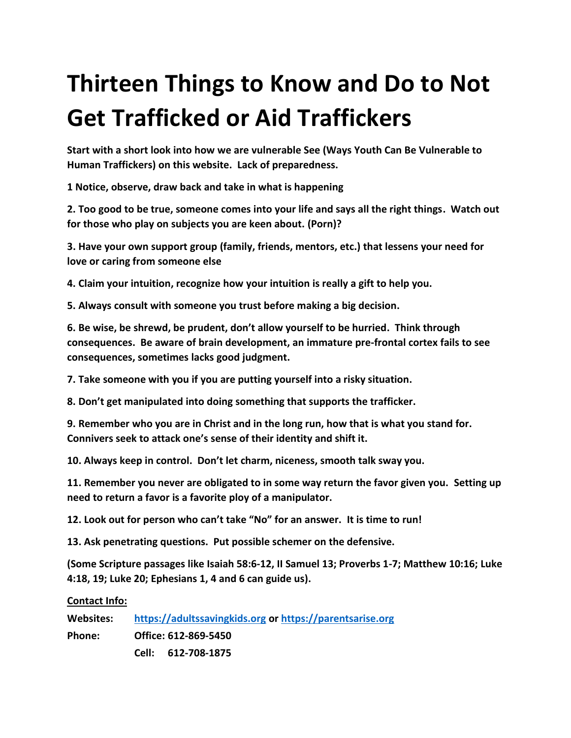## **Thirteen Things to Know and Do to Not Get Trafficked or Aid Traffickers**

**Start with a short look into how we are vulnerable See (Ways Youth Can Be Vulnerable to Human Traffickers) on this website. Lack of preparedness.** 

**1 Notice, observe, draw back and take in what is happening**

**2. Too good to be true, someone comes into your life and says all the right things. Watch out for those who play on subjects you are keen about. (Porn)?**

**3. Have your own support group (family, friends, mentors, etc.) that lessens your need for love or caring from someone else**

**4. Claim your intuition, recognize how your intuition is really a gift to help you.**

**5. Always consult with someone you trust before making a big decision.**

**6. Be wise, be shrewd, be prudent, don't allow yourself to be hurried. Think through consequences. Be aware of brain development, an immature pre-frontal cortex fails to see consequences, sometimes lacks good judgment.**

**7. Take someone with you if you are putting yourself into a risky situation.**

**8. Don't get manipulated into doing something that supports the trafficker.**

**9. Remember who you are in Christ and in the long run, how that is what you stand for. Connivers seek to attack one's sense of their identity and shift it.**

**10. Always keep in control. Don't let charm, niceness, smooth talk sway you.**

**11. Remember you never are obligated to in some way return the favor given you. Setting up need to return a favor is a favorite ploy of a manipulator.** 

**12. Look out for person who can't take "No" for an answer. It is time to run!**

**13. Ask penetrating questions. Put possible schemer on the defensive.** 

**(Some Scripture passages like Isaiah 58:6-12, II Samuel 13; Proverbs 1-7; Matthew 10:16; Luke 4:18, 19; Luke 20; Ephesians 1, 4 and 6 can guide us).** 

**Contact Info:**

| Websites:     | https://adultssavingkids.org or https://parentsarise.org |
|---------------|----------------------------------------------------------|
| <b>Phone:</b> | Office: 612-869-5450                                     |
|               | 612-708-1875<br>Cell: L                                  |